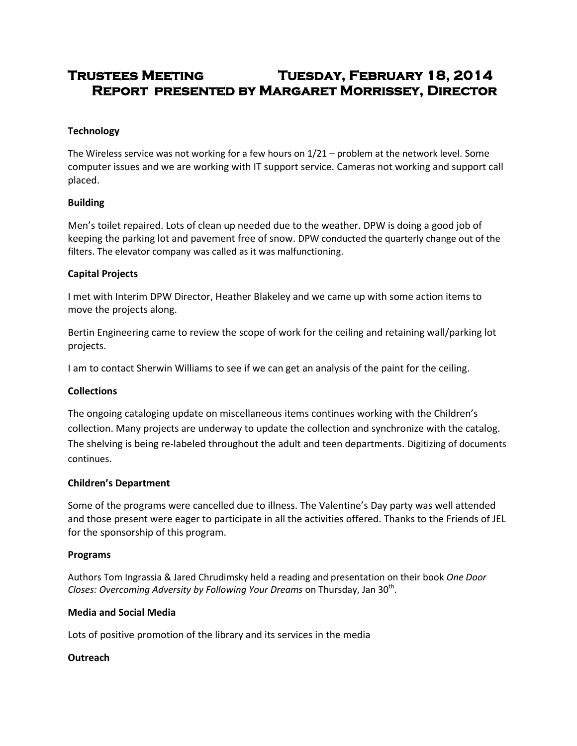# **Trustees Meeting Tuesday, February 18, 2014 Report presented by Margaret Morrissey, Director**

# **Technology**

The Wireless service was not working for a few hours on 1/21 – problem at the network level. Some computer issues and we are working with IT support service. Cameras not working and support call placed.

# **Building**

Men's toilet repaired. Lots of clean up needed due to the weather. DPW is doing a good job of keeping the parking lot and pavement free of snow. DPW conducted the quarterly change out of the filters. The elevator company was called as it was malfunctioning.

## **Capital Projects**

I met with Interim DPW Director, Heather Blakeley and we came up with some action items to move the projects along.

Bertin Engineering came to review the scope of work for the ceiling and retaining wall/parking lot projects.

I am to contact Sherwin Williams to see if we can get an analysis of the paint for the ceiling.

#### **Collections**

The ongoing cataloging update on miscellaneous items continues working with the Children's collection. Many projects are underway to update the collection and synchronize with the catalog. The shelving is being re-labeled throughout the adult and teen departments. Digitizing of documents continues.

#### **Children's Department**

Some of the programs were cancelled due to illness. The Valentine's Day party was well attended and those present were eager to participate in all the activities offered. Thanks to the Friends of JEL for the sponsorship of this program.

#### **Programs**

Authors Tom Ingrassia & Jared Chrudimsky held a reading and presentation on their book *One Door*  Closes: Overcoming Adversity by Following Your Dreams on Thursday, Jan 30<sup>th</sup>.

#### **Media and Social Media**

Lots of positive promotion of the library and its services in the media

# **Outreach**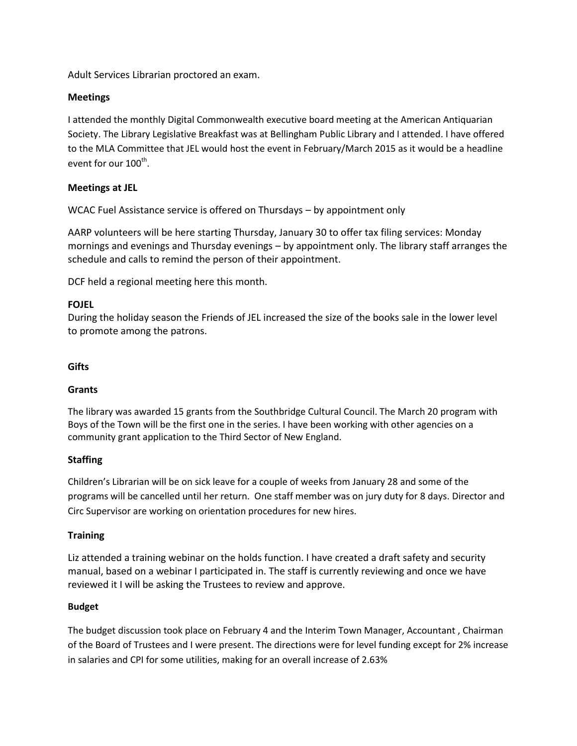Adult Services Librarian proctored an exam.

## **Meetings**

I attended the monthly Digital Commonwealth executive board meeting at the American Antiquarian Society. The Library Legislative Breakfast was at Bellingham Public Library and I attended. I have offered to the MLA Committee that JEL would host the event in February/March 2015 as it would be a headline event for our  $100^{\text{th}}$ .

## **Meetings at JEL**

WCAC Fuel Assistance service is offered on Thursdays – by appointment only

AARP volunteers will be here starting Thursday, January 30 to offer tax filing services: Monday mornings and evenings and Thursday evenings – by appointment only. The library staff arranges the schedule and calls to remind the person of their appointment.

DCF held a regional meeting here this month.

## **FOJEL**

During the holiday season the Friends of JEL increased the size of the books sale in the lower level to promote among the patrons.

#### **Gifts**

#### **Grants**

The library was awarded 15 grants from the Southbridge Cultural Council. The March 20 program with Boys of the Town will be the first one in the series. I have been working with other agencies on a community grant application to the Third Sector of New England.

#### **Staffing**

Children's Librarian will be on sick leave for a couple of weeks from January 28 and some of the programs will be cancelled until her return. One staff member was on jury duty for 8 days. Director and Circ Supervisor are working on orientation procedures for new hires.

#### **Training**

Liz attended a training webinar on the holds function. I have created a draft safety and security manual, based on a webinar I participated in. The staff is currently reviewing and once we have reviewed it I will be asking the Trustees to review and approve.

#### **Budget**

The budget discussion took place on February 4 and the Interim Town Manager, Accountant , Chairman of the Board of Trustees and I were present. The directions were for level funding except for 2% increase in salaries and CPI for some utilities, making for an overall increase of 2.63%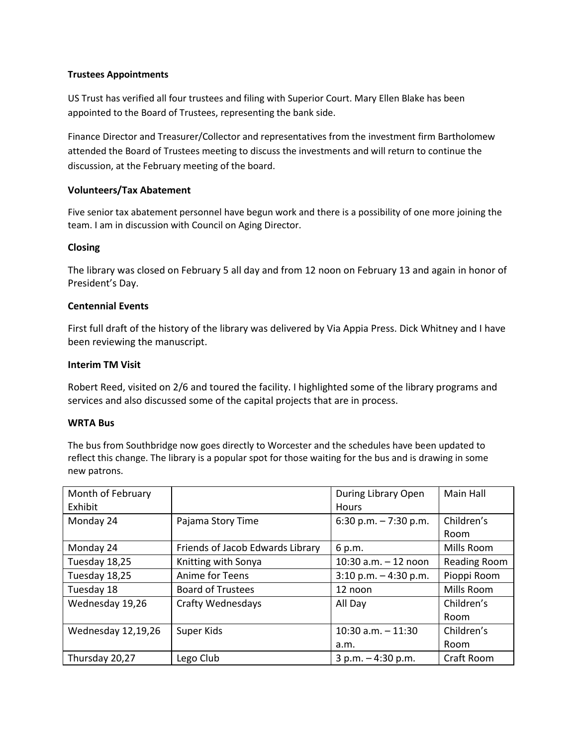#### **Trustees Appointments**

US Trust has verified all four trustees and filing with Superior Court. Mary Ellen Blake has been appointed to the Board of Trustees, representing the bank side.

Finance Director and Treasurer/Collector and representatives from the investment firm Bartholomew attended the Board of Trustees meeting to discuss the investments and will return to continue the discussion, at the February meeting of the board.

## **Volunteers/Tax Abatement**

Five senior tax abatement personnel have begun work and there is a possibility of one more joining the team. I am in discussion with Council on Aging Director.

## **Closing**

The library was closed on February 5 all day and from 12 noon on February 13 and again in honor of President's Day.

## **Centennial Events**

First full draft of the history of the library was delivered by Via Appia Press. Dick Whitney and I have been reviewing the manuscript.

## **Interim TM Visit**

Robert Reed, visited on 2/6 and toured the facility. I highlighted some of the library programs and services and also discussed some of the capital projects that are in process.

#### **WRTA Bus**

The bus from Southbridge now goes directly to Worcester and the schedules have been updated to reflect this change. The library is a popular spot for those waiting for the bus and is drawing in some new patrons.

| Month of February<br>Exhibit |                                  | During Library Open<br><b>Hours</b> | Main Hall    |
|------------------------------|----------------------------------|-------------------------------------|--------------|
| Monday 24                    | Pajama Story Time                | 6:30 p.m. $-7:30$ p.m.              | Children's   |
|                              |                                  |                                     | Room         |
| Monday 24                    | Friends of Jacob Edwards Library | 6 p.m.                              | Mills Room   |
| Tuesday 18,25                | Knitting with Sonya              | 10:30 $a.m. - 12$ noon              | Reading Room |
| Tuesday 18,25                | Anime for Teens                  | $3:10$ p.m. $-4:30$ p.m.            | Pioppi Room  |
| Tuesday 18                   | <b>Board of Trustees</b>         | 12 noon                             | Mills Room   |
| Wednesday 19,26              | <b>Crafty Wednesdays</b>         | All Day                             | Children's   |
|                              |                                  |                                     | Room         |
| Wednesday 12,19,26           | Super Kids                       | $10:30$ a.m. $-11:30$               | Children's   |
|                              |                                  | a.m.                                | Room         |
| Thursday 20,27               | Lego Club                        | $3 p.m. - 4:30 p.m.$                | Craft Room   |